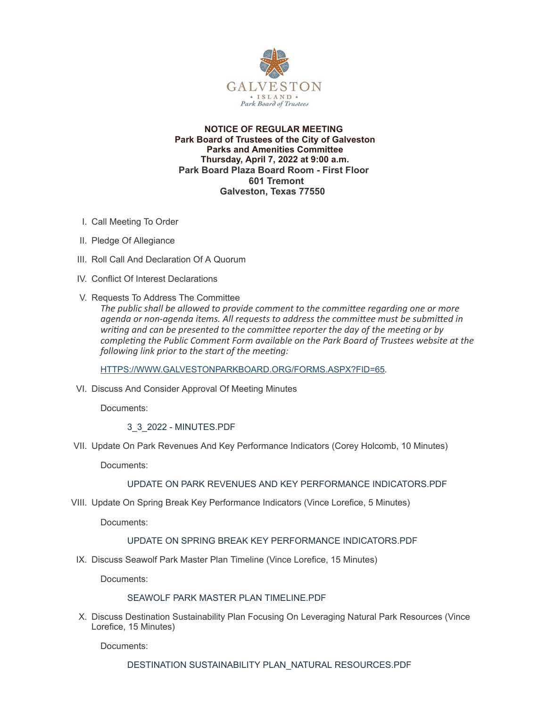

### **NOTICE OF REGULAR MEETING Park Board of Trustees of the City of Galveston Parks and Amenities Committee Thursday, April 7, 2022 at 9:00 a.m. Park Board Plaza Board Room - First Floor 601 Tremont Galveston, Texas 77550**

- I. Call Meeting To Order
- II. Pledge Of Allegiance
- III. Roll Call And Declaration Of A Quorum
- IV. Conflict Of Interest Declarations
- V. Requests To Address The Committee
	- *The public shall be allowed to provide comment to the committee regarding one or more agenda or non-agenda items. All requests to address the committee must be submitted in writing and can be presented to the committee reporter the day of the meeting or by completing the Public Comment Form available on the Park Board of Trustees website at the following link prior to the start of the meeting:*

[HTTPS://WWW.GALVESTONPARKBOARD.ORG/FORMS.ASPX?FID=65](https://www.galvestonparkboard.org/forms.aspx?FID=65)*.*

VI. Discuss And Consider Approval Of Meeting Minutes

Documents:

3\_3\_2022 - [MINUTES.PDF](https://www.galvestonparkboard.org/AgendaCenter/ViewFile/Item/7394?fileID=11445)

VII. Update On Park Revenues And Key Performance Indicators (Corey Holcomb, 10 Minutes)

Documents:

# UPDATE ON PARK REVENUES AND KEY PERFORMANCE [INDICATORS.PDF](https://www.galvestonparkboard.org/AgendaCenter/ViewFile/Item/7551?fileID=11434)

VIII. Update On Spring Break Key Performance Indicators (Vince Lorefice, 5 Minutes)

Documents:

#### UPDATE ON SPRING BREAK KEY PERFORMANCE [INDICATORS.PDF](https://www.galvestonparkboard.org/AgendaCenter/ViewFile/Item/7556?fileID=11447)

IX. Discuss Seawolf Park Master Plan Timeline (Vince Lorefice, 15 Minutes)

Documents:

#### SEAWOLF PARK MASTER PLAN [TIMELINE.PDF](https://www.galvestonparkboard.org/AgendaCenter/ViewFile/Item/7408?fileID=11531)

X. Discuss Destination Sustainability Plan Focusing On Leveraging Natural Park Resources (Vince Lorefice, 15 Minutes)

Documents: